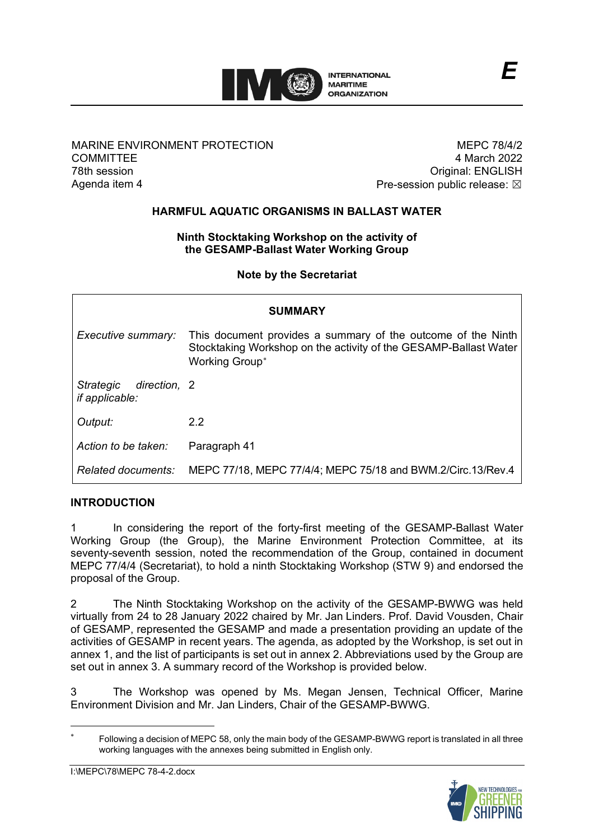

## MARINE ENVIRONMENT PROTECTION **COMMITTEE** 78th session Agenda item 4

MEPC 78/4/2 4 March 2022 Original: ENGLISH Pre-session public release:  $\boxtimes$ 

*E*

# **HARMFUL AQUATIC ORGANISMS IN BALLAST WATER**

### **Ninth Stocktaking Workshop on the activity of the GESAMP-Ballast Water Working Group**

**Note by the Secretariat**

| <b>SUMMARY</b>                                     |                                                                                                                                                    |  |  |  |  |  |
|----------------------------------------------------|----------------------------------------------------------------------------------------------------------------------------------------------------|--|--|--|--|--|
| Executive summary:                                 | This document provides a summary of the outcome of the Ninth<br>Stocktaking Workshop on the activity of the GESAMP-Ballast Water<br>Working Group* |  |  |  |  |  |
| Strategic<br>direction, 2<br><i>if applicable:</i> |                                                                                                                                                    |  |  |  |  |  |
| Output:                                            | 2.2                                                                                                                                                |  |  |  |  |  |
| Action to be taken:                                | Paragraph 41                                                                                                                                       |  |  |  |  |  |
| Related documents:                                 | MEPC 77/18, MEPC 77/4/4; MEPC 75/18 and BWM.2/Circ.13/Rev.4                                                                                        |  |  |  |  |  |

### **INTRODUCTION**

1 In considering the report of the forty-first meeting of the GESAMP-Ballast Water Working Group (the Group), the Marine Environment Protection Committee, at its seventy-seventh session, noted the recommendation of the Group, contained in document MEPC 77/4/4 (Secretariat), to hold a ninth Stocktaking Workshop (STW 9) and endorsed the proposal of the Group.

2 The Ninth Stocktaking Workshop on the activity of the GESAMP-BWWG was held virtually from 24 to 28 January 2022 chaired by Mr. Jan Linders. Prof. David Vousden, Chair of GESAMP, represented the GESAMP and made a presentation providing an update of the activities of GESAMP in recent years. The agenda, as adopted by the Workshop, is set out in annex 1, and the list of participants is set out in annex 2. Abbreviations used by the Group are set out in annex 3. A summary record of the Workshop is provided below.

The Workshop was opened by Ms. Megan Jensen, Technical Officer, Marine Environment Division and Mr. Jan Linders, Chair of the GESAMP-BWWG.

<span id="page-0-0"></span><sup>∗</sup> Following a decision of MEPC 58, only the main body of the GESAMP-BWWG report is translated in all three working languages with the annexes being submitted in English only.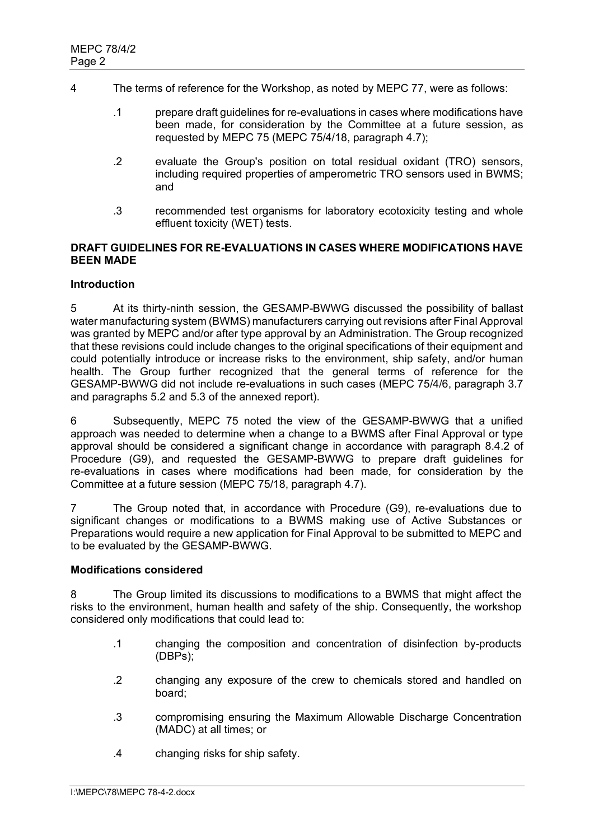- 4 The terms of reference for the Workshop, as noted by MEPC 77, were as follows:
	- .1 prepare draft guidelines for re-evaluations in cases where modifications have been made, for consideration by the Committee at a future session, as requested by MEPC 75 (MEPC 75/4/18, paragraph 4.7);
	- .2 evaluate the Group's position on total residual oxidant (TRO) sensors, including required properties of amperometric TRO sensors used in BWMS; and
	- .3 recommended test organisms for laboratory ecotoxicity testing and whole effluent toxicity (WET) tests.

### **DRAFT GUIDELINES FOR RE-EVALUATIONS IN CASES WHERE MODIFICATIONS HAVE BEEN MADE**

### **Introduction**

5 At its thirty-ninth session, the GESAMP-BWWG discussed the possibility of ballast water manufacturing system (BWMS) manufacturers carrying out revisions after Final Approval was granted by MEPC and/or after type approval by an Administration. The Group recognized that these revisions could include changes to the original specifications of their equipment and could potentially introduce or increase risks to the environment, ship safety, and/or human health. The Group further recognized that the general terms of reference for the GESAMP-BWWG did not include re-evaluations in such cases (MEPC 75/4/6, paragraph 3.7 and paragraphs 5.2 and 5.3 of the annexed report).

6 Subsequently, MEPC 75 noted the view of the GESAMP-BWWG that a unified approach was needed to determine when a change to a BWMS after Final Approval or type approval should be considered a significant change in accordance with paragraph 8.4.2 of Procedure (G9), and requested the GESAMP-BWWG to prepare draft guidelines for re-evaluations in cases where modifications had been made, for consideration by the Committee at a future session (MEPC 75/18, paragraph 4.7).

7 The Group noted that, in accordance with Procedure (G9), re-evaluations due to significant changes or modifications to a BWMS making use of Active Substances or Preparations would require a new application for Final Approval to be submitted to MEPC and to be evaluated by the GESAMP-BWWG.

### **Modifications considered**

8 The Group limited its discussions to modifications to a BWMS that might affect the risks to the environment, human health and safety of the ship. Consequently, the workshop considered only modifications that could lead to:

- .1 changing the composition and concentration of disinfection by-products (DBPs);
- .2 changing any exposure of the crew to chemicals stored and handled on board;
- .3 compromising ensuring the Maximum Allowable Discharge Concentration (MADC) at all times; or
- .4 changing risks for ship safety.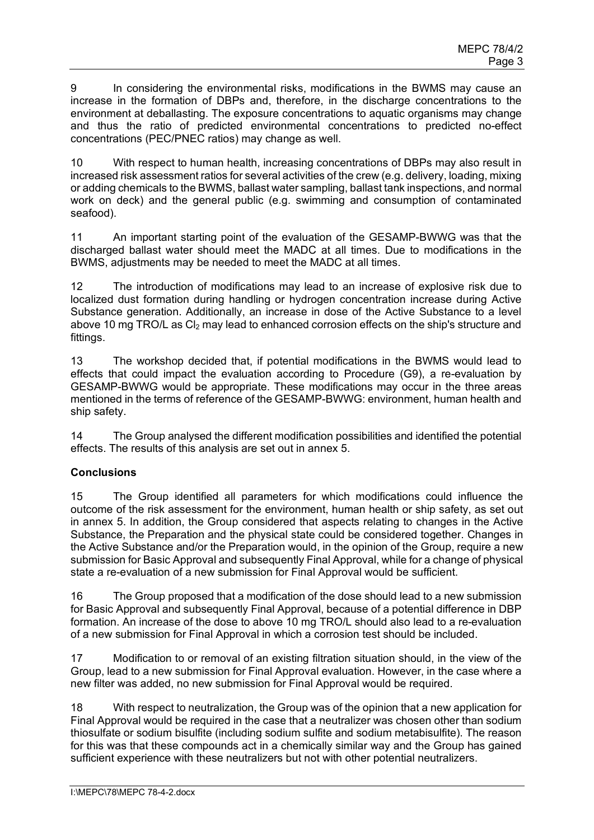9 In considering the environmental risks, modifications in the BWMS may cause an increase in the formation of DBPs and, therefore, in the discharge concentrations to the environment at deballasting. The exposure concentrations to aquatic organisms may change and thus the ratio of predicted environmental concentrations to predicted no-effect concentrations (PEC/PNEC ratios) may change as well.

10 With respect to human health, increasing concentrations of DBPs may also result in increased risk assessment ratios for several activities of the crew (e.g. delivery, loading, mixing or adding chemicals to the BWMS, ballast water sampling, ballast tank inspections, and normal work on deck) and the general public (e.g. swimming and consumption of contaminated seafood).

11 An important starting point of the evaluation of the GESAMP-BWWG was that the discharged ballast water should meet the MADC at all times. Due to modifications in the BWMS, adjustments may be needed to meet the MADC at all times.

12 The introduction of modifications may lead to an increase of explosive risk due to localized dust formation during handling or hydrogen concentration increase during Active Substance generation. Additionally, an increase in dose of the Active Substance to a level above 10 mg TRO/L as CI<sub>2</sub> may lead to enhanced corrosion effects on the ship's structure and fittings.

13 The workshop decided that, if potential modifications in the BWMS would lead to effects that could impact the evaluation according to Procedure (G9), a re-evaluation by GESAMP-BWWG would be appropriate. These modifications may occur in the three areas mentioned in the terms of reference of the GESAMP-BWWG: environment, human health and ship safety.

14 The Group analysed the different modification possibilities and identified the potential effects. The results of this analysis are set out in annex 5.

# **Conclusions**

15 The Group identified all parameters for which modifications could influence the outcome of the risk assessment for the environment, human health or ship safety, as set out in annex 5. In addition, the Group considered that aspects relating to changes in the Active Substance, the Preparation and the physical state could be considered together. Changes in the Active Substance and/or the Preparation would, in the opinion of the Group, require a new submission for Basic Approval and subsequently Final Approval, while for a change of physical state a re-evaluation of a new submission for Final Approval would be sufficient.

16 The Group proposed that a modification of the dose should lead to a new submission for Basic Approval and subsequently Final Approval, because of a potential difference in DBP formation. An increase of the dose to above 10 mg TRO/L should also lead to a re-evaluation of a new submission for Final Approval in which a corrosion test should be included.

17 Modification to or removal of an existing filtration situation should, in the view of the Group, lead to a new submission for Final Approval evaluation. However, in the case where a new filter was added, no new submission for Final Approval would be required.

18 With respect to neutralization, the Group was of the opinion that a new application for Final Approval would be required in the case that a neutralizer was chosen other than sodium thiosulfate or sodium bisulfite (including sodium sulfite and sodium metabisulfite). The reason for this was that these compounds act in a chemically similar way and the Group has gained sufficient experience with these neutralizers but not with other potential neutralizers.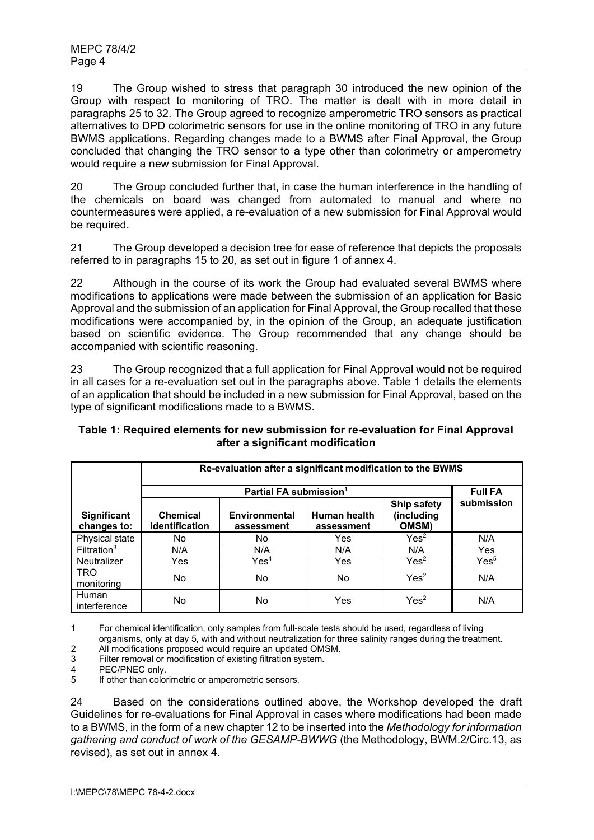19 The Group wished to stress that paragraph 30 introduced the new opinion of the Group with respect to monitoring of TRO. The matter is dealt with in more detail in paragraphs 25 to 32. The Group agreed to recognize amperometric TRO sensors as practical alternatives to DPD colorimetric sensors for use in the online monitoring of TRO in any future BWMS applications. Regarding changes made to a BWMS after Final Approval, the Group concluded that changing the TRO sensor to a type other than colorimetry or amperometry would require a new submission for Final Approval.

20 The Group concluded further that, in case the human interference in the handling of the chemicals on board was changed from automated to manual and where no countermeasures were applied, a re-evaluation of a new submission for Final Approval would be required.

21 The Group developed a decision tree for ease of reference that depicts the proposals referred to in paragraphs 15 to 20, as set out in figure 1 of annex 4.

22 Although in the course of its work the Group had evaluated several BWMS where modifications to applications were made between the submission of an application for Basic Approval and the submission of an application for Final Approval, the Group recalled that these modifications were accompanied by, in the opinion of the Group, an adequate justification based on scientific evidence. The Group recommended that any change should be accompanied with scientific reasoning.

23 The Group recognized that a full application for Final Approval would not be required in all cases for a re-evaluation set out in the paragraphs above. Table 1 details the elements of an application that should be included in a new submission for Final Approval, based on the type of significant modifications made to a BWMS.

|                                   | Re-evaluation after a significant modification to the BWMS |                             |                            |                                    |                  |  |  |  |
|-----------------------------------|------------------------------------------------------------|-----------------------------|----------------------------|------------------------------------|------------------|--|--|--|
|                                   |                                                            | <b>Full FA</b>              |                            |                                    |                  |  |  |  |
| <b>Significant</b><br>changes to: | <b>Chemical</b><br>identification                          | Environmental<br>assessment | Human health<br>assessment | Ship safety<br>(including<br>OMSM) | submission       |  |  |  |
| Physical state                    | No.                                                        | No                          | Yes                        | Yes <sup>2</sup>                   | N/A              |  |  |  |
| Filtration <sup>3</sup>           | N/A                                                        | N/A                         | N/A                        | N/A                                | Yes              |  |  |  |
| Neutralizer                       | Yes                                                        | $\mathsf{Yes}^4$            | Yes                        | Yes <sup>2</sup>                   | $\mathsf{Yes}^5$ |  |  |  |
| <b>TRO</b><br>monitoring          | No.                                                        | No                          | No.                        | Yes <sup>2</sup>                   | N/A              |  |  |  |
| Human<br>interference             | No.                                                        | No                          | Yes                        | Yes <sup>2</sup>                   | N/A              |  |  |  |

# **Table 1: Required elements for new submission for re-evaluation for Final Approval after a significant modification**

1 For chemical identification, only samples from full-scale tests should be used, regardless of living

organisms, only at day 5, with and without neutralization for three salinity ranges during the treatment.

2 All modifications proposed would require an updated OMSM.<br>3 Filter removal or modification of existing filtration system. 3 Filter removal or modification of existing filtration system.

4 PEC/PNEC only.<br>5 If other than color If other than colorimetric or amperometric sensors.

24 Based on the considerations outlined above, the Workshop developed the draft Guidelines for re-evaluations for Final Approval in cases where modifications had been made to a BWMS, in the form of a new chapter 12 to be inserted into the *Methodology for information gathering and conduct of work of the GESAMP-BWWG* (the Methodology, BWM.2/Circ.13, as revised), as set out in annex 4.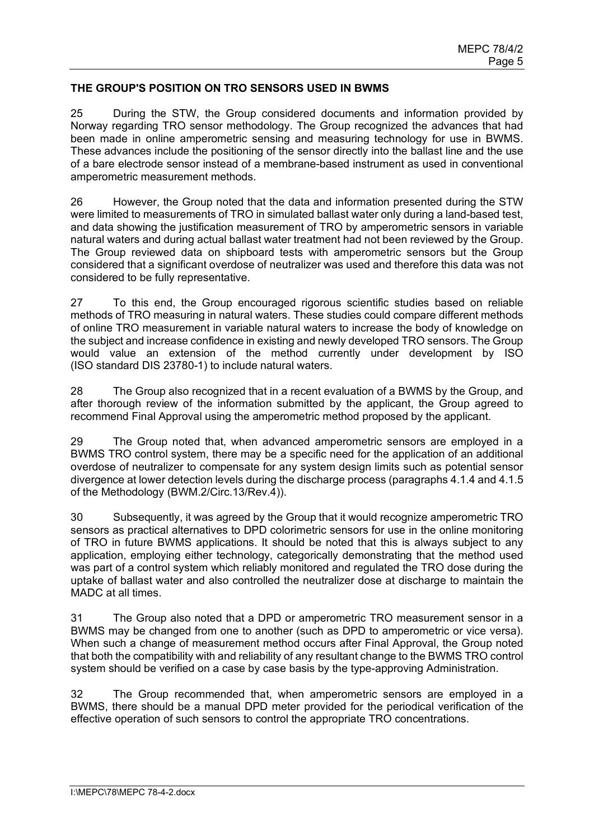### **THE GROUP'S POSITION ON TRO SENSORS USED IN BWMS**

25 During the STW, the Group considered documents and information provided by Norway regarding TRO sensor methodology. The Group recognized the advances that had been made in online amperometric sensing and measuring technology for use in BWMS. These advances include the positioning of the sensor directly into the ballast line and the use of a bare electrode sensor instead of a membrane-based instrument as used in conventional amperometric measurement methods.

26 However, the Group noted that the data and information presented during the STW were limited to measurements of TRO in simulated ballast water only during a land-based test, and data showing the justification measurement of TRO by amperometric sensors in variable natural waters and during actual ballast water treatment had not been reviewed by the Group. The Group reviewed data on shipboard tests with amperometric sensors but the Group considered that a significant overdose of neutralizer was used and therefore this data was not considered to be fully representative.

27 To this end, the Group encouraged rigorous scientific studies based on reliable methods of TRO measuring in natural waters. These studies could compare different methods of online TRO measurement in variable natural waters to increase the body of knowledge on the subject and increase confidence in existing and newly developed TRO sensors. The Group would value an extension of the method currently under development by ISO (ISO standard DIS 23780-1) to include natural waters.

28 The Group also recognized that in a recent evaluation of a BWMS by the Group, and after thorough review of the information submitted by the applicant, the Group agreed to recommend Final Approval using the amperometric method proposed by the applicant.

29 The Group noted that, when advanced amperometric sensors are employed in a BWMS TRO control system, there may be a specific need for the application of an additional overdose of neutralizer to compensate for any system design limits such as potential sensor divergence at lower detection levels during the discharge process (paragraphs 4.1.4 and 4.1.5 of the Methodology (BWM.2/Circ.13/Rev.4)).

30 Subsequently, it was agreed by the Group that it would recognize amperometric TRO sensors as practical alternatives to DPD colorimetric sensors for use in the online monitoring of TRO in future BWMS applications. It should be noted that this is always subject to any application, employing either technology, categorically demonstrating that the method used was part of a control system which reliably monitored and regulated the TRO dose during the uptake of ballast water and also controlled the neutralizer dose at discharge to maintain the MADC at all times.

31 The Group also noted that a DPD or amperometric TRO measurement sensor in a BWMS may be changed from one to another (such as DPD to amperometric or vice versa). When such a change of measurement method occurs after Final Approval, the Group noted that both the compatibility with and reliability of any resultant change to the BWMS TRO control system should be verified on a case by case basis by the type-approving Administration.

32 The Group recommended that, when amperometric sensors are employed in a BWMS, there should be a manual DPD meter provided for the periodical verification of the effective operation of such sensors to control the appropriate TRO concentrations.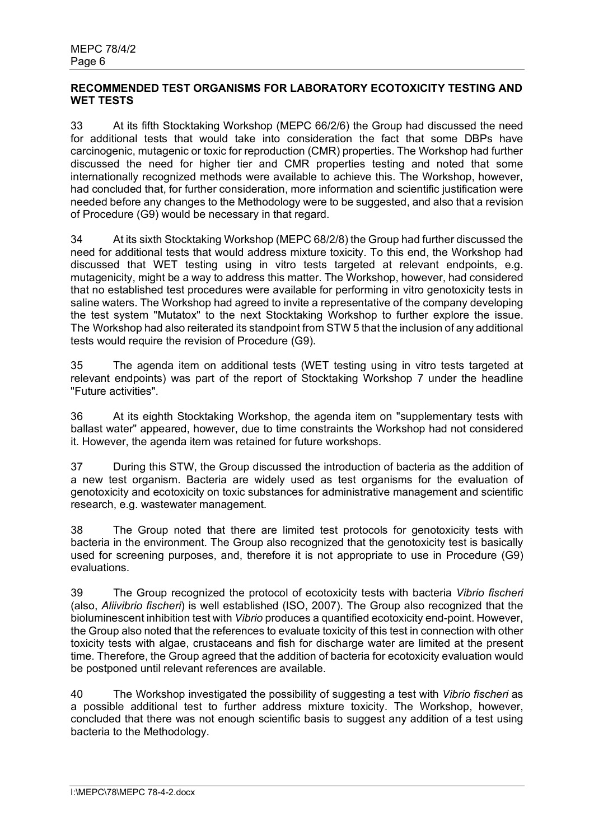## **RECOMMENDED TEST ORGANISMS FOR LABORATORY ECOTOXICITY TESTING AND WET TESTS**

33 At its fifth Stocktaking Workshop (MEPC 66/2/6) the Group had discussed the need for additional tests that would take into consideration the fact that some DBPs have carcinogenic, mutagenic or toxic for reproduction (CMR) properties. The Workshop had further discussed the need for higher tier and CMR properties testing and noted that some internationally recognized methods were available to achieve this. The Workshop, however, had concluded that, for further consideration, more information and scientific justification were needed before any changes to the Methodology were to be suggested, and also that a revision of Procedure (G9) would be necessary in that regard.

34 At its sixth Stocktaking Workshop (MEPC 68/2/8) the Group had further discussed the need for additional tests that would address mixture toxicity. To this end, the Workshop had discussed that WET testing using in vitro tests targeted at relevant endpoints, e.g. mutagenicity, might be a way to address this matter. The Workshop, however, had considered that no established test procedures were available for performing in vitro genotoxicity tests in saline waters. The Workshop had agreed to invite a representative of the company developing the test system "Mutatox" to the next Stocktaking Workshop to further explore the issue. The Workshop had also reiterated its standpoint from STW 5 that the inclusion of any additional tests would require the revision of Procedure (G9).

35 The agenda item on additional tests (WET testing using in vitro tests targeted at relevant endpoints) was part of the report of Stocktaking Workshop 7 under the headline ʺFuture activitiesʺ.

36 At its eighth Stocktaking Workshop, the agenda item on "supplementary tests with ballast water" appeared, however, due to time constraints the Workshop had not considered it. However, the agenda item was retained for future workshops.

37 During this STW, the Group discussed the introduction of bacteria as the addition of a new test organism. Bacteria are widely used as test organisms for the evaluation of genotoxicity and ecotoxicity on toxic substances for administrative management and scientific research, e.g. wastewater management.

38 The Group noted that there are limited test protocols for genotoxicity tests with bacteria in the environment. The Group also recognized that the genotoxicity test is basically used for screening purposes, and, therefore it is not appropriate to use in Procedure (G9) evaluations.

39 The Group recognized the protocol of ecotoxicity tests with bacteria *Vibrio fischeri* (also, *Aliivibrio fischeri*) is well established (ISO, 2007). The Group also recognized that the bioluminescent inhibition test with *Vibrio* produces a quantified ecotoxicity end-point. However, the Group also noted that the references to evaluate toxicity of this test in connection with other toxicity tests with algae, crustaceans and fish for discharge water are limited at the present time. Therefore, the Group agreed that the addition of bacteria for ecotoxicity evaluation would be postponed until relevant references are available.

40 The Workshop investigated the possibility of suggesting a test with *Vibrio fischeri* as a possible additional test to further address mixture toxicity. The Workshop, however, concluded that there was not enough scientific basis to suggest any addition of a test using bacteria to the Methodology.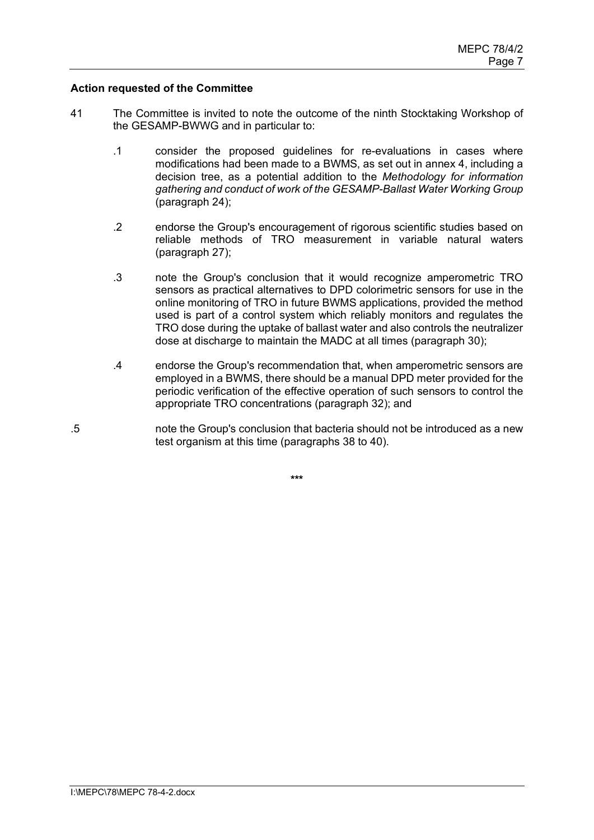### **Action requested of the Committee**

- 41 The Committee is invited to note the outcome of the ninth Stocktaking Workshop of the GESAMP-BWWG and in particular to:
	- .1 consider the proposed guidelines for re-evaluations in cases where modifications had been made to a BWMS, as set out in annex 4, including a decision tree, as a potential addition to the *Methodology for information gathering and conduct of work of the GESAMP-Ballast Water Working Group* (paragraph 24);
	- .2 endorse the Group's encouragement of rigorous scientific studies based on reliable methods of TRO measurement in variable natural waters (paragraph 27);
	- .3 note the Group's conclusion that it would recognize amperometric TRO sensors as practical alternatives to DPD colorimetric sensors for use in the online monitoring of TRO in future BWMS applications, provided the method used is part of a control system which reliably monitors and regulates the TRO dose during the uptake of ballast water and also controls the neutralizer dose at discharge to maintain the MADC at all times (paragraph 30);
	- .4 endorse the Groupʹs recommendation that, when amperometric sensors are employed in a BWMS, there should be a manual DPD meter provided for the periodic verification of the effective operation of such sensors to control the appropriate TRO concentrations (paragraph 32); and
- .5 note the Groupʹs conclusion that bacteria should not be introduced as a new test organism at this time (paragraphs 38 to 40).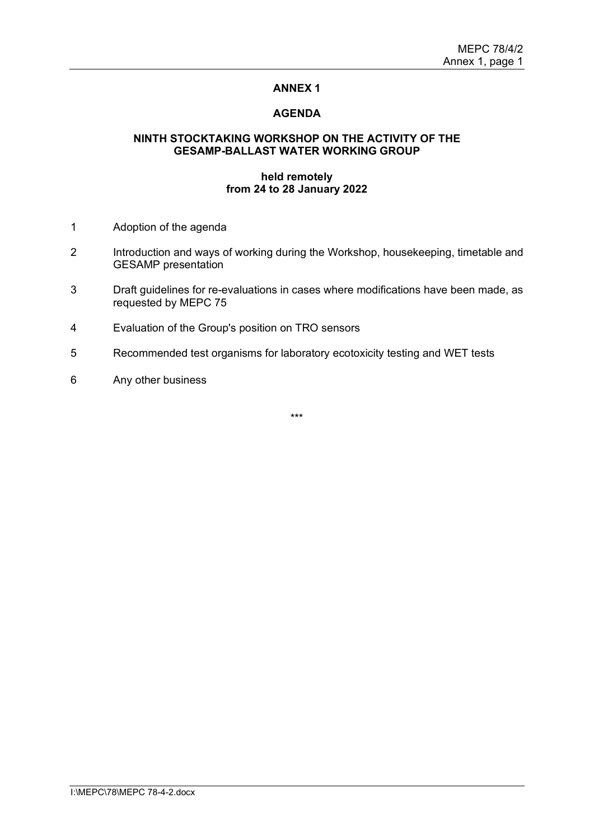### **AGENDA**

### **NINTH STOCKTAKING WORKSHOP ON THE ACTIVITY OF THE GESAMP-BALLAST WATER WORKING GROUP**

### **held remotely from 24 to 28 January 2022**

- 1 Adoption of the agenda
- 2 Introduction and ways of working during the Workshop, housekeeping, timetable and GESAMP presentation
- 3 Draft guidelines for re-evaluations in cases where modifications have been made, as requested by MEPC 75
- 4 Evaluation of the Groupʹs position on TRO sensors
- 5 Recommended test organisms for laboratory ecotoxicity testing and WET tests
- 6 Any other business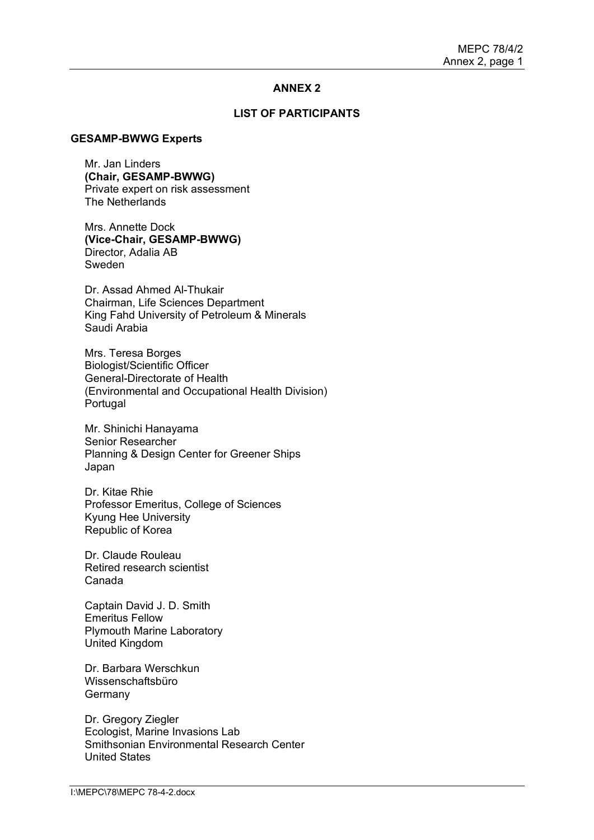### **LIST OF PARTICIPANTS**

#### **GESAMP-BWWG Experts**

Mr. Jan Linders **(Chair, GESAMP-BWWG)** Private expert on risk assessment The Netherlands

Mrs. Annette Dock **(Vice-Chair, GESAMP-BWWG)** Director, Adalia AB Sweden

Dr. Assad Ahmed Al-Thukair Chairman, Life Sciences Department King Fahd University of Petroleum & Minerals Saudi Arabia

Mrs. Teresa Borges Biologist/Scientific Officer General-Directorate of Health (Environmental and Occupational Health Division) Portugal

Mr. Shinichi Hanayama Senior Researcher Planning & Design Center for Greener Ships Japan

Dr. Kitae Rhie Professor Emeritus, College of Sciences Kyung Hee University Republic of Korea

Dr. Claude Rouleau Retired research scientist Canada

Captain David J. D. Smith Emeritus Fellow Plymouth Marine Laboratory United Kingdom

Dr. Barbara Werschkun Wissenschaftsbüro **Germany** 

Dr. Gregory Ziegler Ecologist, Marine Invasions Lab Smithsonian Environmental Research Center United States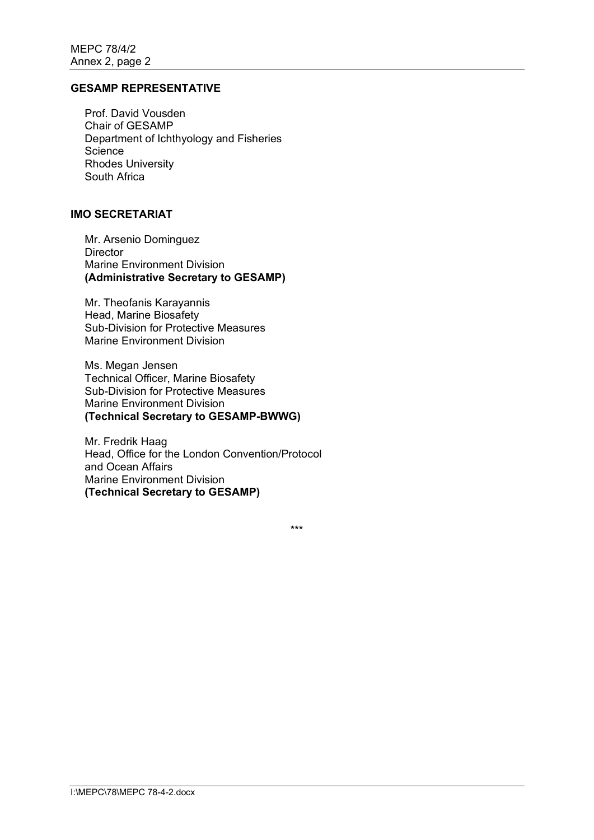## **GESAMP REPRESENTATIVE**

Prof. David Vousden Chair of GESAMP Department of Ichthyology and Fisheries **Science** Rhodes University South Africa

### **IMO SECRETARIAT**

Mr. Arsenio Dominguez **Director** Marine Environment Division **(Administrative Secretary to GESAMP)**

Mr. Theofanis Karayannis Head, Marine Biosafety Sub-Division for Protective Measures Marine Environment Division

Ms. Megan Jensen Technical Officer, Marine Biosafety Sub-Division for Protective Measures Marine Environment Division **(Technical Secretary to GESAMP-BWWG)**

Mr. Fredrik Haag Head, Office for the London Convention/Protocol and Ocean Affairs Marine Environment Division **(Technical Secretary to GESAMP)**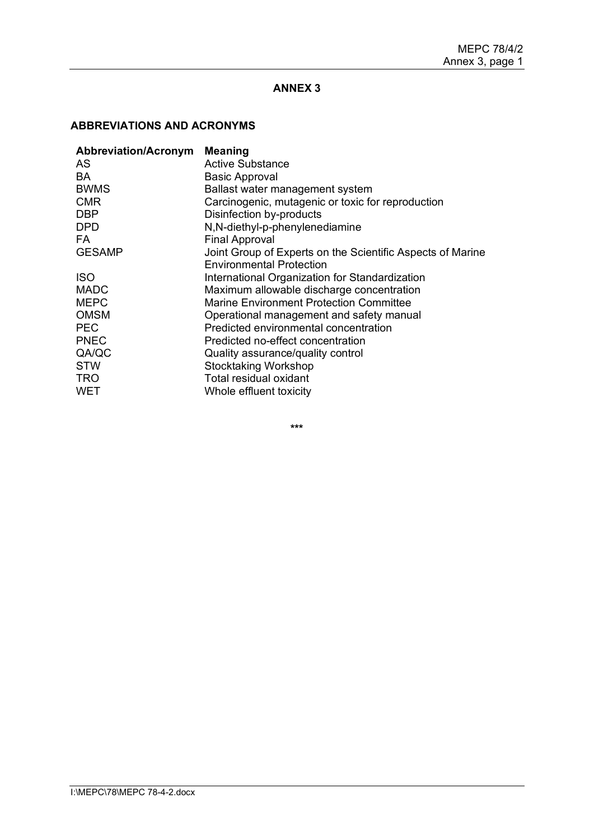# **ABBREVIATIONS AND ACRONYMS**

| <b>Abbreviation/Acronym</b> | <b>Meaning</b>                                             |
|-----------------------------|------------------------------------------------------------|
| AS.                         | Active Substance                                           |
| BA                          | <b>Basic Approval</b>                                      |
| <b>BWMS</b>                 | Ballast water management system                            |
| <b>CMR</b>                  | Carcinogenic, mutagenic or toxic for reproduction          |
| <b>DBP</b>                  | Disinfection by-products                                   |
| <b>DPD</b>                  | N,N-diethyl-p-phenylenediamine                             |
| FA.                         | <b>Final Approval</b>                                      |
| <b>GESAMP</b>               | Joint Group of Experts on the Scientific Aspects of Marine |
|                             | <b>Environmental Protection</b>                            |
| <b>ISO</b>                  | International Organization for Standardization             |
| <b>MADC</b>                 | Maximum allowable discharge concentration                  |
| <b>MEPC</b>                 | Marine Environment Protection Committee                    |
| <b>OMSM</b>                 | Operational management and safety manual                   |
| <b>PEC</b>                  | Predicted environmental concentration                      |
| <b>PNEC</b>                 | Predicted no-effect concentration                          |
| QA/QC                       | Quality assurance/quality control                          |
| <b>STW</b>                  | <b>Stocktaking Workshop</b>                                |
| <b>TRO</b>                  | Total residual oxidant                                     |
| <b>WET</b>                  | Whole effluent toxicity                                    |
|                             |                                                            |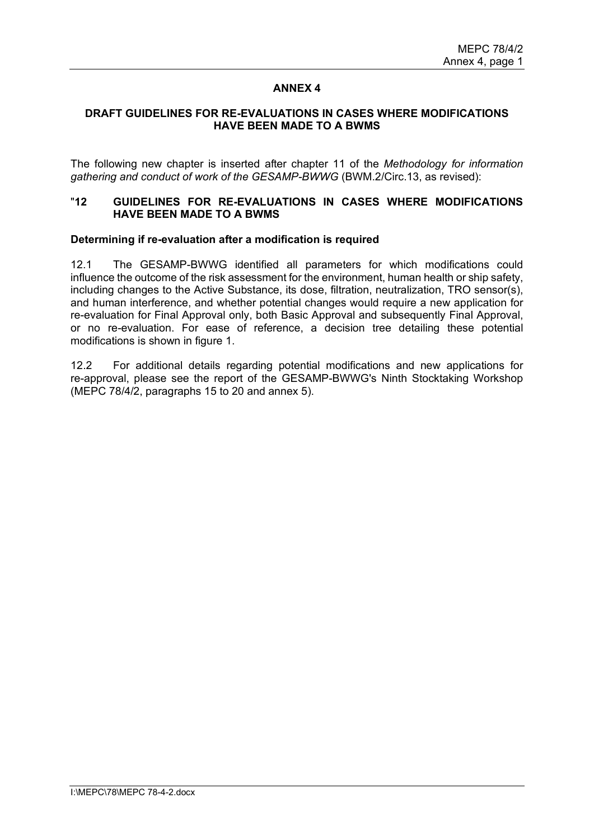### **DRAFT GUIDELINES FOR RE-EVALUATIONS IN CASES WHERE MODIFICATIONS HAVE BEEN MADE TO A BWMS**

The following new chapter is inserted after chapter 11 of the *Methodology for information gathering and conduct of work of the GESAMP-BWWG* (BWM.2/Circ.13, as revised):

### "**12 GUIDELINES FOR RE-EVALUATIONS IN CASES WHERE MODIFICATIONS HAVE BEEN MADE TO A BWMS**

### **Determining if re-evaluation after a modification is required**

12.1 The GESAMP-BWWG identified all parameters for which modifications could influence the outcome of the risk assessment for the environment, human health or ship safety, including changes to the Active Substance, its dose, filtration, neutralization, TRO sensor(s), and human interference, and whether potential changes would require a new application for re-evaluation for Final Approval only, both Basic Approval and subsequently Final Approval, or no re-evaluation. For ease of reference, a decision tree detailing these potential modifications is shown in figure 1.

12.2 For additional details regarding potential modifications and new applications for re-approval, please see the report of the GESAMP-BWWG's Ninth Stocktaking Workshop (MEPC 78/4/2, paragraphs 15 to 20 and annex 5).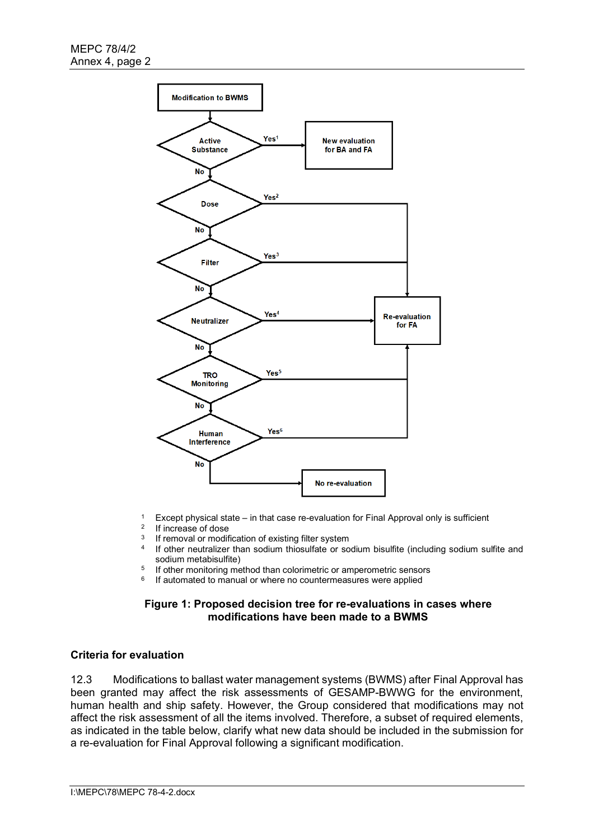

- 1 Except physical state in that case re-evaluation for Final Approval only is sufficient
- <sup>2</sup> If increase of dose<br><sup>3</sup> If removal or modif
- <sup>3</sup> If removal or modification of existing filter system<br> $\frac{4}{15}$  If other neutralizer than sodium thiosulfate or so
- If other neutralizer than sodium thiosulfate or sodium bisulfite (including sodium sulfite and sodium metabisulfite)
- <sup>5</sup> If other monitoring method than colorimetric or amperometric sensors<br><sup>6</sup> If outpmated to manual or where no countermoacures were applied
- If automated to manual or where no countermeasures were applied

### **Figure 1: Proposed decision tree for re-evaluations in cases where modifications have been made to a BWMS**

# **Criteria for evaluation**

12.3 Modifications to ballast water management systems (BWMS) after Final Approval has been granted may affect the risk assessments of GESAMP-BWWG for the environment, human health and ship safety. However, the Group considered that modifications may not affect the risk assessment of all the items involved. Therefore, a subset of required elements, as indicated in the table below, clarify what new data should be included in the submission for a re-evaluation for Final Approval following a significant modification.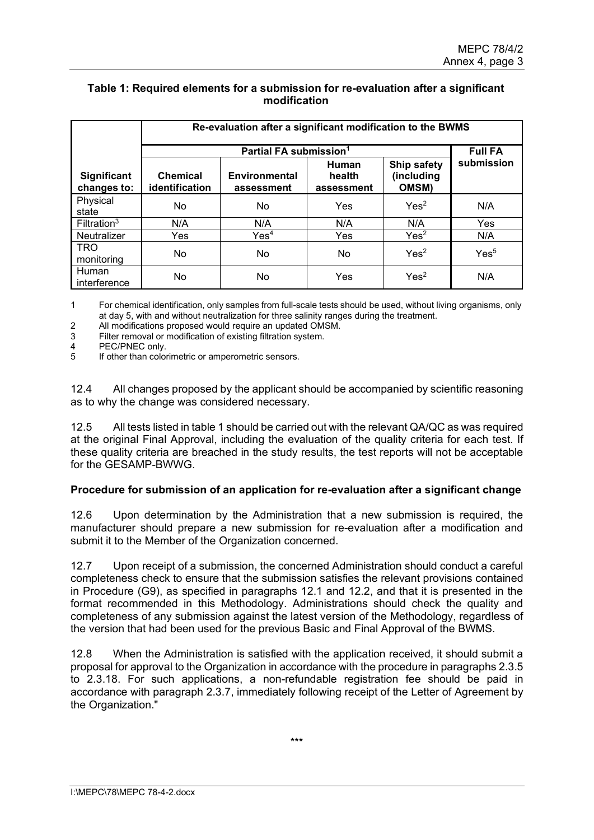## **Table 1: Required elements for a submission for re-evaluation after a significant modification**

|                                   | Re-evaluation after a significant modification to the BWMS |                             |                               |                                           |                  |  |  |  |
|-----------------------------------|------------------------------------------------------------|-----------------------------|-------------------------------|-------------------------------------------|------------------|--|--|--|
|                                   |                                                            | <b>Full FA</b>              |                               |                                           |                  |  |  |  |
| <b>Significant</b><br>changes to: | <b>Chemical</b><br>identification                          | Environmental<br>assessment | Human<br>health<br>assessment | Ship safety<br>(including<br><b>OMSM)</b> | submission       |  |  |  |
| Physical<br>state                 | <b>No</b>                                                  | No                          | Yes                           | Yes <sup>2</sup>                          | N/A              |  |  |  |
| Filtration <sup>3</sup>           | N/A                                                        | N/A                         | N/A                           | N/A                                       | <b>Yes</b>       |  |  |  |
| Neutralizer                       | Yes                                                        | Yes <sup>4</sup>            | Yes                           | Yes <sup>2</sup>                          | N/A              |  |  |  |
| <b>TRO</b><br>monitoring          | No.                                                        | No                          | No                            | Yes <sup>2</sup>                          | Yes <sup>5</sup> |  |  |  |
| Human<br>interference             | No                                                         | No                          | Yes                           | Yes <sup>2</sup>                          | N/A              |  |  |  |

1 For chemical identification, only samples from full-scale tests should be used, without living organisms, only at day 5, with and without neutralization for three salinity ranges during the treatment.

2 All modifications proposed would require an updated OMSM.

3 Filter removal or modification of existing filtration system.

4 PEC/PNEC only.<br>5 If other than color

If other than colorimetric or amperometric sensors.

12.4 All changes proposed by the applicant should be accompanied by scientific reasoning as to why the change was considered necessary.

12.5 All tests listed in table 1 should be carried out with the relevant QA/QC as was required at the original Final Approval, including the evaluation of the quality criteria for each test. If these quality criteria are breached in the study results, the test reports will not be acceptable for the GESAMP-BWWG.

### **Procedure for submission of an application for re-evaluation after a significant change**

12.6 Upon determination by the Administration that a new submission is required, the manufacturer should prepare a new submission for re-evaluation after a modification and submit it to the Member of the Organization concerned.

12.7 Upon receipt of a submission, the concerned Administration should conduct a careful completeness check to ensure that the submission satisfies the relevant provisions contained in Procedure (G9), as specified in paragraphs 12.1 and 12.2, and that it is presented in the format recommended in this Methodology. Administrations should check the quality and completeness of any submission against the latest version of the Methodology, regardless of the version that had been used for the previous Basic and Final Approval of the BWMS.

12.8 When the Administration is satisfied with the application received, it should submit a proposal for approval to the Organization in accordance with the procedure in paragraphs 2.3.5 to 2.3.18. For such applications, a non-refundable registration fee should be paid in accordance with paragraph 2.3.7, immediately following receipt of the Letter of Agreement by the Organization."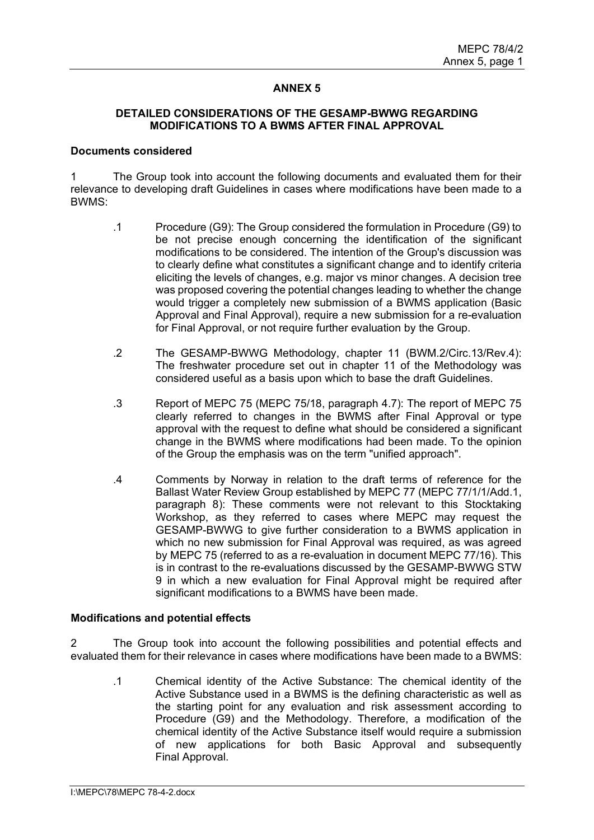### **DETAILED CONSIDERATIONS OF THE GESAMP-BWWG REGARDING MODIFICATIONS TO A BWMS AFTER FINAL APPROVAL**

### **Documents considered**

1 The Group took into account the following documents and evaluated them for their relevance to developing draft Guidelines in cases where modifications have been made to a BWMS:

- .1 Procedure (G9): The Group considered the formulation in Procedure (G9) to be not precise enough concerning the identification of the significant modifications to be considered. The intention of the Group's discussion was to clearly define what constitutes a significant change and to identify criteria eliciting the levels of changes, e.g. major vs minor changes. A decision tree was proposed covering the potential changes leading to whether the change would trigger a completely new submission of a BWMS application (Basic Approval and Final Approval), require a new submission for a re-evaluation for Final Approval, or not require further evaluation by the Group.
- .2 The GESAMP-BWWG Methodology, chapter 11 (BWM.2/Circ.13/Rev.4): The freshwater procedure set out in chapter 11 of the Methodology was considered useful as a basis upon which to base the draft Guidelines.
- .3 Report of MEPC 75 (MEPC 75/18, paragraph 4.7): The report of MEPC 75 clearly referred to changes in the BWMS after Final Approval or type approval with the request to define what should be considered a significant change in the BWMS where modifications had been made. To the opinion of the Group the emphasis was on the term "unified approach".
- .4 Comments by Norway in relation to the draft terms of reference for the Ballast Water Review Group established by MEPC 77 (MEPC 77/1/1/Add.1, paragraph 8): These comments were not relevant to this Stocktaking Workshop, as they referred to cases where MEPC may request the GESAMP-BWWG to give further consideration to a BWMS application in which no new submission for Final Approval was required, as was agreed by MEPC 75 (referred to as a re-evaluation in document MEPC 77/16). This is in contrast to the re-evaluations discussed by the GESAMP-BWWG STW 9 in which a new evaluation for Final Approval might be required after significant modifications to a BWMS have been made.

### **Modifications and potential effects**

2 The Group took into account the following possibilities and potential effects and evaluated them for their relevance in cases where modifications have been made to a BWMS:

.1 Chemical identity of the Active Substance: The chemical identity of the Active Substance used in a BWMS is the defining characteristic as well as the starting point for any evaluation and risk assessment according to Procedure (G9) and the Methodology. Therefore, a modification of the chemical identity of the Active Substance itself would require a submission of new applications for both Basic Approval and subsequently Final Approval.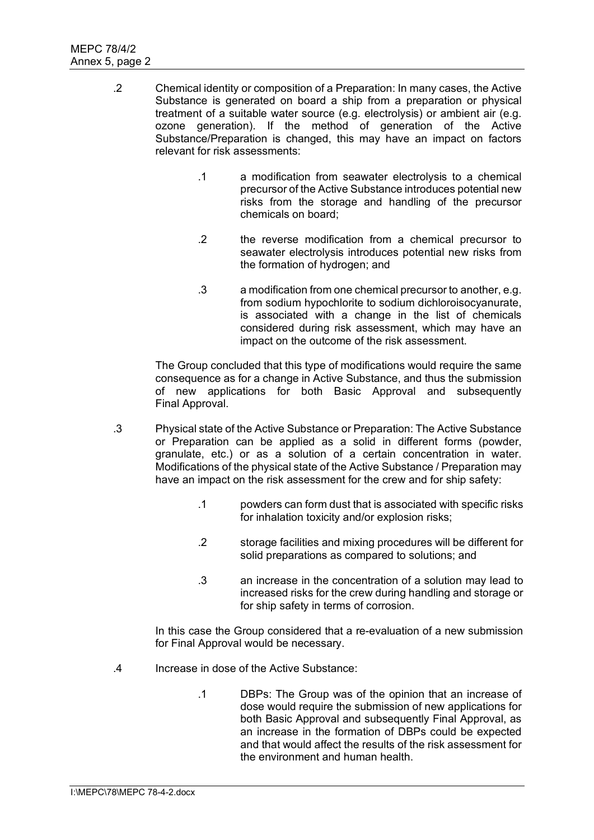- .2 Chemical identity or composition of a Preparation: In many cases, the Active Substance is generated on board a ship from a preparation or physical treatment of a suitable water source (e.g. electrolysis) or ambient air (e.g. ozone generation). If the method of generation of the Active Substance/Preparation is changed, this may have an impact on factors relevant for risk assessments:
	- .1 a modification from seawater electrolysis to a chemical precursor of the Active Substance introduces potential new risks from the storage and handling of the precursor chemicals on board;
	- .2 the reverse modification from a chemical precursor to seawater electrolysis introduces potential new risks from the formation of hydrogen; and
	- .3 a modification from one chemical precursor to another, e.g. from sodium hypochlorite to sodium dichloroisocyanurate, is associated with a change in the list of chemicals considered during risk assessment, which may have an impact on the outcome of the risk assessment.

The Group concluded that this type of modifications would require the same consequence as for a change in Active Substance, and thus the submission of new applications for both Basic Approval and subsequently Final Approval.

- .3 Physical state of the Active Substance or Preparation: The Active Substance or Preparation can be applied as a solid in different forms (powder, granulate, etc.) or as a solution of a certain concentration in water. Modifications of the physical state of the Active Substance / Preparation may have an impact on the risk assessment for the crew and for ship safety:
	- .1 powders can form dust that is associated with specific risks for inhalation toxicity and/or explosion risks;
	- .2 storage facilities and mixing procedures will be different for solid preparations as compared to solutions; and
	- .3 an increase in the concentration of a solution may lead to increased risks for the crew during handling and storage or for ship safety in terms of corrosion.

In this case the Group considered that a re-evaluation of a new submission for Final Approval would be necessary.

- .4 Increase in dose of the Active Substance:
	- .1 DBPs: The Group was of the opinion that an increase of dose would require the submission of new applications for both Basic Approval and subsequently Final Approval, as an increase in the formation of DBPs could be expected and that would affect the results of the risk assessment for the environment and human health.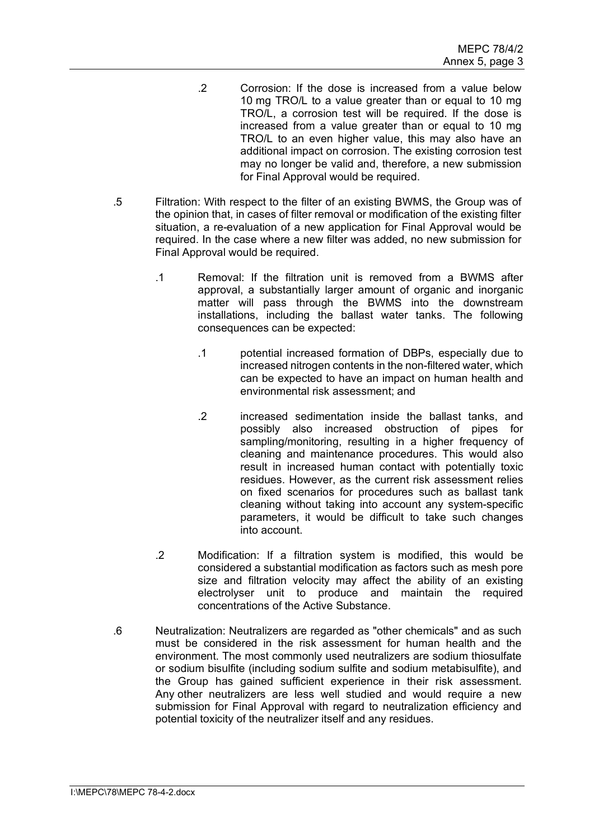- .2 Corrosion: If the dose is increased from a value below 10 mg TRO/L to a value greater than or equal to 10 mg TRO/L, a corrosion test will be required. If the dose is increased from a value greater than or equal to 10 mg TRO/L to an even higher value, this may also have an additional impact on corrosion. The existing corrosion test may no longer be valid and, therefore, a new submission for Final Approval would be required.
- .5 Filtration: With respect to the filter of an existing BWMS, the Group was of the opinion that, in cases of filter removal or modification of the existing filter situation, a re-evaluation of a new application for Final Approval would be required. In the case where a new filter was added, no new submission for Final Approval would be required.
	- .1 Removal: If the filtration unit is removed from a BWMS after approval, a substantially larger amount of organic and inorganic matter will pass through the BWMS into the downstream installations, including the ballast water tanks. The following consequences can be expected:
		- .1 potential increased formation of DBPs, especially due to increased nitrogen contents in the non-filtered water, which can be expected to have an impact on human health and environmental risk assessment; and
		- .2 increased sedimentation inside the ballast tanks, and possibly also increased obstruction of pipes for sampling/monitoring, resulting in a higher frequency of cleaning and maintenance procedures. This would also result in increased human contact with potentially toxic residues. However, as the current risk assessment relies on fixed scenarios for procedures such as ballast tank cleaning without taking into account any system-specific parameters, it would be difficult to take such changes into account.
	- .2 Modification: If a filtration system is modified, this would be considered a substantial modification as factors such as mesh pore size and filtration velocity may affect the ability of an existing electrolyser unit to produce and maintain the required concentrations of the Active Substance.
- .6 Neutralization: Neutralizers are regarded as "other chemicals" and as such must be considered in the risk assessment for human health and the environment. The most commonly used neutralizers are sodium thiosulfate or sodium bisulfite (including sodium sulfite and sodium metabisulfite), and the Group has gained sufficient experience in their risk assessment. Any other neutralizers are less well studied and would require a new submission for Final Approval with regard to neutralization efficiency and potential toxicity of the neutralizer itself and any residues.